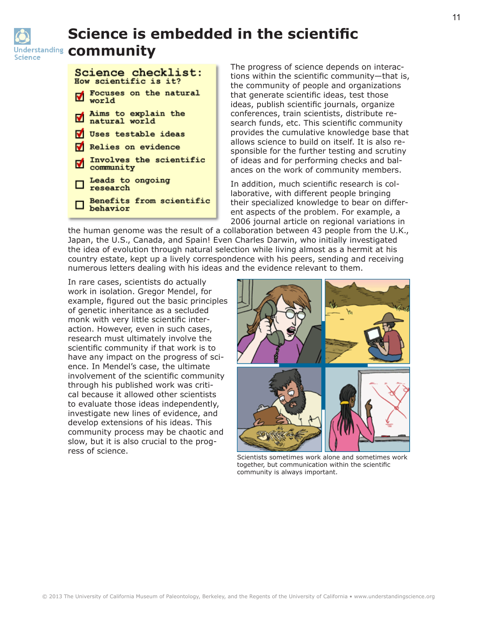

## **Science is embedded in the scientific Inderstanding community**

| Science checklist:<br>How scientific is it? |                                          |
|---------------------------------------------|------------------------------------------|
|                                             | Focuses on the natural<br>world          |
|                                             | ■ Aims to explain the<br>■ natural world |
|                                             | V Uses testable ideas                    |
|                                             | V Relies on evidence                     |
|                                             | Involves the scientific<br>community     |
|                                             | □ Leads to ongoing<br>□ research         |
|                                             | Benefits from scientific<br>D behavior   |

The progress of science depends on interactions within the scientific community—that is, the community of people and organizations that generate scientific ideas, test those ideas, publish scientific journals, organize conferences, train scientists, distribute research funds, etc. This scientific community provides the cumulative knowledge base that allows science to build on itself. It is also responsible for the further testing and scrutiny of ideas and for performing checks and balances on the work of community members.

In addition, much scientific research is collaborative, with different people bringing their specialized knowledge to bear on different aspects of the problem. For example, a 2006 journal article on regional variations in

the human genome was the result of a collaboration between 43 people from the U.K., Japan, the U.S., Canada, and Spain! Even Charles Darwin, who initially investigated the idea of evolution through natural selection while living almost as a hermit at his country estate, kept up a lively correspondence with his peers, sending and receiving numerous letters dealing with his ideas and the evidence relevant to them.

In rare cases, scientists do actually work in isolation. Gregor Mendel, for example, figured out the basic principles of genetic inheritance as a secluded monk with very little scientific interaction. However, even in such cases, research must ultimately involve the scientific community if that work is to have any impact on the progress of science. In Mendel's case, the ultimate involvement of the scientific community through his published work was critical because it allowed other scientists to evaluate those ideas independently, investigate new lines of evidence, and develop extensions of his ideas. This community process may be chaotic and slow, but it is also crucial to the progress of science.



Scientists sometimes work alone and sometimes work together, but communication within the scientific community is always important.